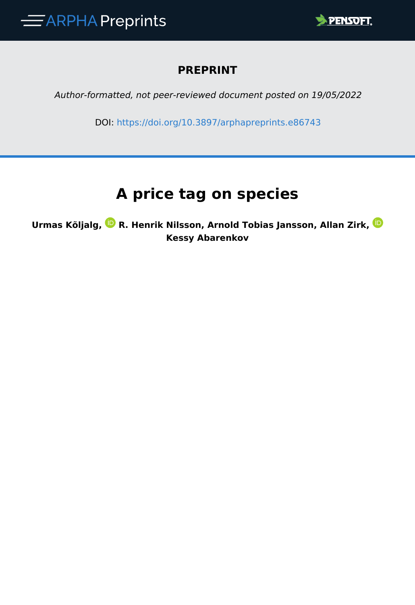

### **PREPRINT**

*Author-formatted, not peer-reviewed document posted on 19/05/2022*

DOI:<https://doi.org/10.3897/arphapreprints.e86743>

# **A price tag on species**

**Urmas Kõljalg,R. Henrik Nilsson, Arnold Tobias Jansson, Allan Zirk, Kessy Abarenkov**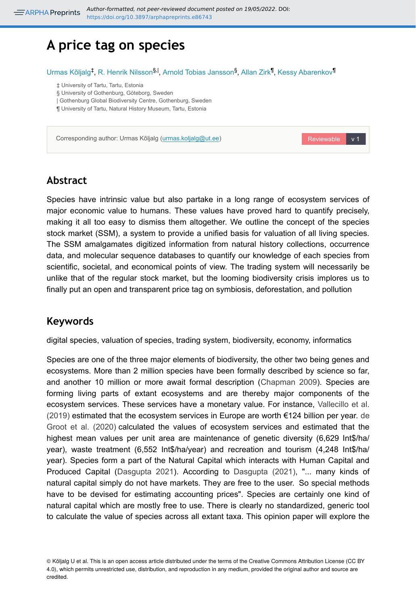## **A price tag on species**

Urmas Kõljalg<sup>‡</sup>, R. Henrik Nilsson<sup>§, |</sup>, Arnold Tobias Jansson<sup>§</sup>, Allan Zirk<sup>¶</sup>, Kessy Abarenkov<sup>¶</sup>

‡ University of Tartu, Tartu, Estonia

§ University of Gothenburg, Göteborg, Sweden

| Gothenburg Global Biodiversity Centre, Gothenburg, Sweden

¶ University of Tartu, Natural History Museum, Tartu, Estonia

Corresponding author: Urmas Kõljalg [\(urmas.koljalg@ut.ee](mailto:urmas.koljalg@ut.ee))

#### **Abstract**

Species have intrinsic value but also partake in a long range of ecosystem services of major economic value to humans. These values have proved hard to quantify precisely, making it all too easy to dismiss them altogether. We outline the concept of the species stock market (SSM), a system to provide a unified basis for valuation of all living species. The SSM amalgamates digitized information from natural history collections, occurrence data, and molecular sequence databases to quantify our knowledge of each species from scientific, societal, and economical points of view. The trading system will necessarily be unlike that of the regular stock market, but the looming biodiversity crisis implores us to finally put an open and transparent price tag on symbiosis, deforestation, and pollution

Reviewable v 1

#### **Keywords**

digital species, valuation of species, trading system, biodiversity, economy, informatics

Species are one of the three major elements of biodiversity, the other two being genes and ecosystems. More than 2 million species have been formally described by science so far, and another 10 million or more await formal description ([Chapman 2009](#page-4-0)). Species are forming living parts of extant ecosystems and are thereby major components of the ecosystem services. These services have a monetary value. For instance, [Vallecillo et al.](#page-5-0) [\(2019\)](#page-5-0) estimated that the ecosystem services in Europe are worth €124 billion per year. [de](#page-4-1) [Groot et al. \(2020\)](#page-4-1) calculated the values of ecosystem services and estimated that the highest mean values per unit area are maintenance of genetic diversity (6,629 Int\$/ha/ year), waste treatment (6,552 Int\$/ha/year) and recreation and tourism (4,248 Int\$/ha/ year). Species form a part of the Natural Capital which interacts with Human Capital and Produced Capital ([Dasgupta 2021](#page-4-2)). According to [Dasgupta \(2021\),](#page-4-2) "... many kinds of natural capital simply do not have markets. They are free to the user. So special methods have to be devised for estimating accounting prices". Species are certainly one kind of natural capital which are mostly free to use. There is clearly no standardized, generic tool to calculate the value of species across all extant taxa. This opinion paper will explore the

<sup>©</sup> Kõljalg U et al. This is an open access article distributed under the terms of the Creative Commons Attribution License (CC BY 4.0), which permits unrestricted use, distribution, and reproduction in any medium, provided the original author and source are credited.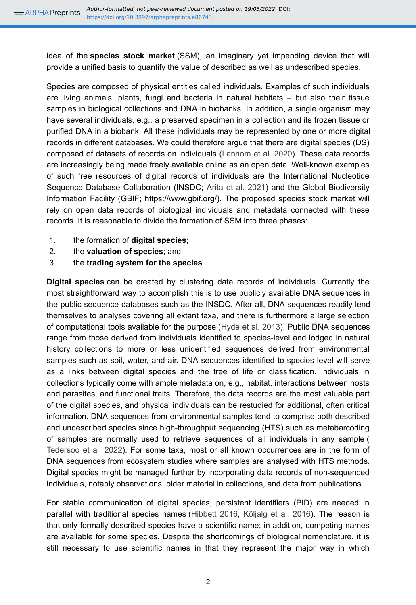idea of the **species stock market** (SSM), an imaginary yet impending device that will provide a unified basis to quantify the value of described as well as undescribed species.

Species are composed of physical entities called individuals. Examples of such individuals are living animals, plants, fungi and bacteria in natural habitats – but also their tissue samples in biological collections and DNA in biobanks. In addition, a single organism may have several individuals, e.g., a preserved specimen in a collection and its frozen tissue or purified DNA in a biobank. All these individuals may be represented by one or more digital records in different databases. We could therefore argue that there are digital species (DS) composed of datasets of records on individuals [\(Lannom et al. 2020](#page-5-1)). These data records are increasingly being made freely available online as an open data. Well-known examples of such free resources of digital records of individuals are the International Nucleotide Sequence Database Collaboration (INSDC; [Arita et al. 2021](#page-4-3)) and the Global Biodiversity Information Facility (GBIF; https://www.gbif.org/). The proposed species stock market will rely on open data records of biological individuals and metadata connected with these records. It is reasonable to divide the formation of SSM into three phases:

- 1. the formation of **digital species**;
- 2. the **valuation of species**; and
- 3. the **trading system for the species**.

**Digital species** can be created by clustering data records of individuals. Currently the most straightforward way to accomplish this is to use publicly available DNA sequences in the public sequence databases such as the INSDC. After all, DNA sequences readily lend themselves to analyses covering all extant taxa, and there is furthermore a large selection of computational tools available for the purpose [\(Hyde et al. 2013\)](#page-5-2). Public DNA sequences range from those derived from individuals identified to species-level and lodged in natural history collections to more or less unidentified sequences derived from environmental samples such as soil, water, and air. DNA sequences identified to species level will serve as a links between digital species and the tree of life or classification. Individuals in collections typically come with ample metadata on, e.g., habitat, interactions between hosts and parasites, and functional traits. Therefore, the data records are the most valuable part of the digital species, and physical individuals can be restudied for additional, often critical information. DNA sequences from environmental samples tend to comprise both described and undescribed species since high-throughput sequencing (HTS) such as metabarcoding of samples are normally used to retrieve sequences of all individuals in any sample ( [Tedersoo et al. 2022\)](#page-5-3). For some taxa, most or all known occurrences are in the form of DNA sequences from ecosystem studies where samples are analysed with HTS methods. Digital species might be managed further by incorporating data records of non-sequenced individuals, notably observations, older material in collections, and data from publications.

For stable communication of digital species, persistent identifiers (PID) are needed in parallel with traditional species names ([Hibbett 2016](#page-5-4), [Kõljalg et al. 2016\)](#page-5-5). The reason is that only formally described species have a scientific name; in addition, competing names are available for some species. Despite the shortcomings of biological nomenclature, it is still necessary to use scientific names in that they represent the major way in which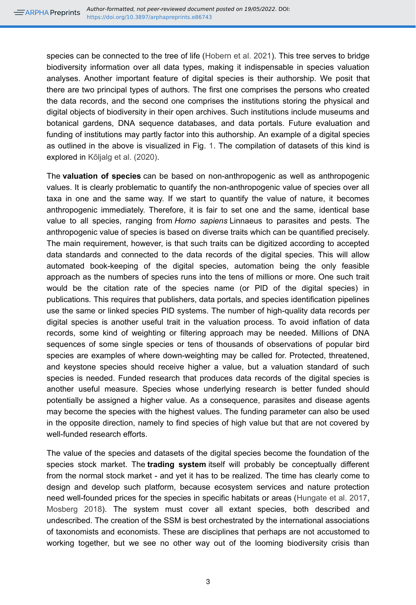species can be connected to the tree of life [\(Hobern et al. 2021](#page-5-6)). This tree serves to bridge biodiversity information over all data types, making it indispensable in species valuation analyses. Another important feature of digital species is their authorship. We posit that there are two principal types of authors. The first one comprises the persons who created the data records, and the second one comprises the institutions storing the physical and digital objects of biodiversity in their open archives. Such institutions include museums and botanical gardens, DNA sequence databases, and data portals. Future evaluation and funding of institutions may partly factor into this authorship. An example of a digital species as outlined in the above is visualized in Fig. [1.](#page-6-0) The compilation of datasets of this kind is explored in [Kõljalg et al. \(2020\).](#page-5-7)

The **valuation of species** can be based on non-anthropogenic as well as anthropogenic values. It is clearly problematic to quantify the non-anthropogenic value of species over all taxa in one and the same way. If we start to quantify the value of nature, it becomes anthropogenic immediately. Therefore, it is fair to set one and the same, identical base value to all species, ranging from *Homo sapiens* Linnaeus to parasites and pests. The anthropogenic value of species is based on diverse traits which can be quantified precisely. The main requirement, however, is that such traits can be digitized according to accepted data standards and connected to the data records of the digital species. This will allow automated book-keeping of the digital species, automation being the only feasible approach as the numbers of species runs into the tens of millions or more. One such trait would be the citation rate of the species name (or PID of the digital species) in publications. This requires that publishers, data portals, and species identification pipelines use the same or linked species PID systems. The number of high-quality data records per digital species is another useful trait in the valuation process. To avoid inflation of data records, some kind of weighting or filtering approach may be needed. Millions of DNA sequences of some single species or tens of thousands of observations of popular bird species are examples of where down-weighting may be called for. Protected, threatened, and keystone species should receive higher a value, but a valuation standard of such species is needed. Funded research that produces data records of the digital species is another useful measure. Species whose underlying research is better funded should potentially be assigned a higher value. As a consequence, parasites and disease agents may become the species with the highest values. The funding parameter can also be used in the opposite direction, namely to find species of high value but that are not covered by well-funded research efforts.

The value of the species and datasets of the digital species become the foundation of the species stock market. The **trading system** itself will probably be conceptually different from the normal stock market - and yet it has to be realized. The time has clearly come to design and develop such platform, because ecosystem services and nature protection need well-founded prices for the species in specific habitats or areas [\(Hungate et al. 2017,](#page-5-8) [Mosberg 2018\)](#page-5-9). The system must cover all extant species, both described and undescribed. The creation of the SSM is best orchestrated by the international associations of taxonomists and economists. These are disciplines that perhaps are not accustomed to working together, but we see no other way out of the looming biodiversity crisis than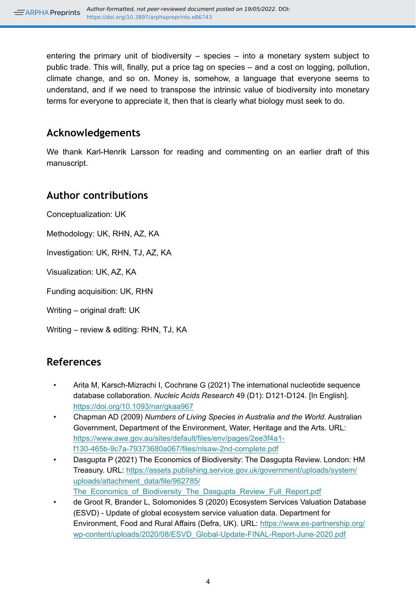entering the primary unit of biodiversity – species – into a monetary system subject to public trade. This will, finally, put a price tag on species – and a cost on logging, pollution, climate change, and so on. Money is, somehow, a language that everyone seems to understand, and if we need to transpose the intrinsic value of biodiversity into monetary terms for everyone to appreciate it, then that is clearly what biology must seek to do.

#### **Acknowledgements**

We thank Karl-Henrik Larsson for reading and commenting on an earlier draft of this manuscript.

#### **Author contributions**

Conceptualization: UK

Methodology: UK, RHN, AZ, KA

Investigation: UK, RHN, TJ, AZ, KA

Visualization: UK, AZ, KA

Funding acquisition: UK, RHN

Writing – original draft: UK

Writing – review & editing: RHN, TJ, KA

#### **References**

- <span id="page-4-3"></span>• Arita M, Karsch-Mizrachi I, Cochrane G (2021) The international nucleotide sequence database collaboration. *Nucleic Acids Research* 49 (D1): D121‑D124. [In English]. <https://doi.org/10.1093/nar/gkaa967>
- <span id="page-4-0"></span>• Chapman AD (2009) *Numbers of Living Species in Australia and the World*. Australian Government, Department of the Environment, Water, Heritage and the Arts. URL: [https://www.awe.gov.au/sites/default/files/env/pages/2ee3f4a1](https://www.awe.gov.au/sites/default/files/env/pages/2ee3f4a1-f130-465b-9c7a-79373680a067/files/nlsaw-2nd-complete.pdf) [f130-465b-9c7a-79373680a067/files/nlsaw-2nd-complete.pdf](https://www.awe.gov.au/sites/default/files/env/pages/2ee3f4a1-f130-465b-9c7a-79373680a067/files/nlsaw-2nd-complete.pdf)
- <span id="page-4-2"></span>• Dasgupta P (2021) The Economics of Biodiversity: The Dasgupta Review. London: HM Treasury. URL: [https://assets.publishing.service.gov.uk/government/uploads/system/](https://assets.publishing.service.gov.uk/government/uploads/system/uploads/attachment_data/file/962785/The_Economics_of_Biodiversity_The_Dasgupta_Review_Full_Report.pdf) [uploads/attachment\\_data/file/962785/](https://assets.publishing.service.gov.uk/government/uploads/system/uploads/attachment_data/file/962785/The_Economics_of_Biodiversity_The_Dasgupta_Review_Full_Report.pdf) The Economics of Biodiversity The Dasgupta Review Full Report.pdf
- <span id="page-4-1"></span>• de Groot R, Brander L, Solomonides S (2020) Ecosystem Services Valuation Database (ESVD) - Update of global ecosystem service valuation data. Department for Environment, Food and Rural Affairs (Defra, UK). URL: [https://www.es-partnership.org/](https://www.es-partnership.org/wp-content/uploads/2020/08/ESVD_Global-Update-FINAL-Report-June-2020.pdf) [wp-content/uploads/2020/08/ESVD\\_Global-Update-FINAL-Report-June-2020.pdf](https://www.es-partnership.org/wp-content/uploads/2020/08/ESVD_Global-Update-FINAL-Report-June-2020.pdf)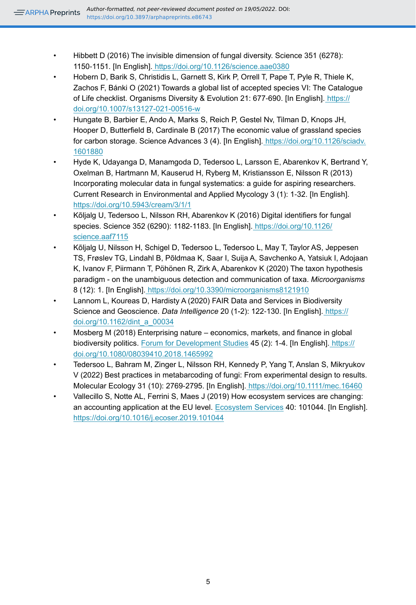- <span id="page-5-4"></span>• Hibbett D (2016) The invisible dimension of fungal diversity. Science 351 (6278): 1150‑1151. [In English][. https://doi.org/10.1126/science.aae0380](https://doi.org/10.1126/science.aae0380)
- <span id="page-5-6"></span>• Hobern D, Barik S, Christidis L, Garnett S, Kirk P, Orrell T, Pape T, Pyle R, Thiele K, Zachos F, Bánki O (2021) Towards a global list of accepted species VI: The Catalogue of Life checklist. Organisms Diversity & Evolution 21: 677‑690. [In English]. [https://](https://doi.org/10.1007/s13127-021-00516-w) [doi.org/10.1007/s13127-021-00516-w](https://doi.org/10.1007/s13127-021-00516-w)
- <span id="page-5-8"></span>• Hungate B, Barbier E, Ando A, Marks S, Reich P, Gestel Nv, Tilman D, Knops JH, Hooper D, Butterfield B, Cardinale B (2017) The economic value of grassland species for carbon storage. Science Advances 3 (4). [In English]. [https://doi.org/10.1126/sciadv.](https://doi.org/10.1126/sciadv.1601880) [1601880](https://doi.org/10.1126/sciadv.1601880)
- <span id="page-5-2"></span>• Hyde K, Udayanga D, Manamgoda D, Tedersoo L, Larsson E, Abarenkov K, Bertrand Y, Oxelman B, Hartmann M, Kauserud H, Ryberg M, Kristiansson E, Nilsson R (2013) Incorporating molecular data in fungal systematics: a guide for aspiring researchers. Current Research in Environmental and Applied Mycology 3 (1): 1‑32. [In English]. <https://doi.org/10.5943/cream/3/1/1>
- <span id="page-5-5"></span>• Kõljalg U, Tedersoo L, Nilsson RH, Abarenkov K (2016) Digital identifiers for fungal species. Science 352 (6290): 1182‑1183. [In English]. [https://doi.org/10.1126/](https://doi.org/10.1126/science.aaf7115) [science.aaf7115](https://doi.org/10.1126/science.aaf7115)
- <span id="page-5-7"></span>• Kõljalg U, Nilsson H, Schigel D, Tedersoo L, Tedersoo L, May T, Taylor AS, Jeppesen TS, Frøslev TG, Lindahl B, Põldmaa K, Saar I, Suija A, Savchenko A, Yatsiuk I, Adojaan K, Ivanov F, Piirmann T, Pöhönen R, Zirk A, Abarenkov K (2020) The taxon hypothesis paradigm - on the unambiguous detection and communication of taxa. *Microorganisms* 8 (12): 1. [In English].<https://doi.org/10.3390/microorganisms8121910>
- <span id="page-5-1"></span>• Lannom L, Koureas D, Hardisty A (2020) FAIR Data and Services in Biodiversity Science and Geoscience. *Data Intelligence* 20 (1-2): 122-130. [In English][. https://](https://doi.org/10.1162/dint_a_00034) [doi.org/10.1162/dint\\_a\\_00034](https://doi.org/10.1162/dint_a_00034)
- <span id="page-5-9"></span>• Mosberg M (2018) Enterprising nature – economics, markets, and finance in global biodiversity politics. [Forum for Development Studies](https://www.researchgate.net/journal/Forum-for-Development-Studies-0803-9410) 45 (2): 1‑4. [In English][. https://](https://doi.org/10.1080/08039410.2018.1465992) [doi.org/10.1080/08039410.2018.1465992](https://doi.org/10.1080/08039410.2018.1465992)
- <span id="page-5-3"></span>• Tedersoo L, Bahram M, Zinger L, Nilsson RH, Kennedy P, Yang T, Anslan S, Mikryukov V (2022) Best practices in metabarcoding of fungi: From experimental design to results. Molecular Ecology 31 (10): 2769‑2795. [In English].<https://doi.org/10.1111/mec.16460>
- <span id="page-5-0"></span>• Vallecillo S, Notte AL, Ferrini S, Maes J (2019) How ecosystem services are changing: an accounting application at the EU level. [Ecosystem Services](https://www.sciencedirect.com/journal/ecosystem-services) 40: 101044. [In English]. <https://doi.org/10.1016/j.ecoser.2019.101044>